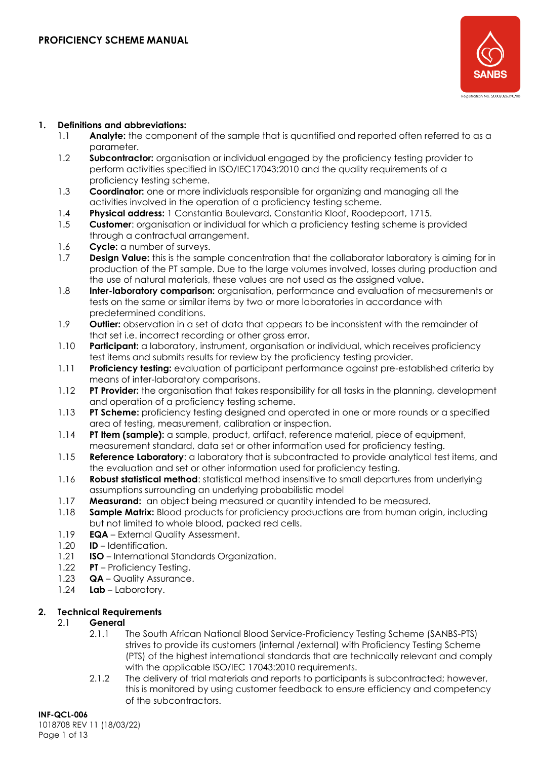

#### **1. Definitions and abbreviations:**

- 1.1 **Analyte:** the component of the sample that is quantified and reported often referred to as a parameter.
- 1.2 **Subcontractor:** organisation or individual engaged by the proficiency testing provider to perform activities specified in ISO/IEC17043:2010 and the quality requirements of a proficiency testing scheme.
- 1.3 **Coordinator:** one or more individuals responsible for organizing and managing all the activities involved in the operation of a proficiency testing scheme.
- 1.4 **Physical address:** 1 Constantia Boulevard, Constantia Kloof, Roodepoort, 1715.
- 1.5 **Customer**: organisation or individual for which a proficiency testing scheme is provided through a contractual arrangement.
- 1.6 **Cycle:** a number of surveys.
- 1.7 **Design Value:** this is the sample concentration that the collaborator laboratory is aiming for in production of the PT sample. Due to the large volumes involved, losses during production and the use of natural materials, these values are not used as the assigned value**.**
- 1.8 **Inter-laboratory comparison:** organisation, performance and evaluation of measurements or tests on the same or similar items by two or more laboratories in accordance with predetermined conditions.
- 1.9 **Outlier:** observation in a set of data that appears to be inconsistent with the remainder of that set i.e. incorrect recording or other gross error.
- 1.10 **Participant:** a laboratory, instrument, organisation or individual, which receives proficiency test items and submits results for review by the proficiency testing provider.
- 1.11 **Proficiency testing:** evaluation of participant performance against pre-established criteria by means of inter-laboratory comparisons.
- 1.12 **PT Provider:** the organisation that takes responsibility for all tasks in the planning, development and operation of a proficiency testing scheme.
- 1.13 **PT Scheme:** proficiency testing designed and operated in one or more rounds or a specified area of testing, measurement, calibration or inspection.
- 1.14 **PT Item (sample):** a sample, product, artifact, reference material, piece of equipment, measurement standard, data set or other information used for proficiency testing.
- 1.15 **Reference Laboratory**: a laboratory that is subcontracted to provide analytical test items, and the evaluation and set or other information used for proficiency testing.
- 1.16 **Robust statistical method**: statistical method insensitive to small departures from underlying assumptions surrounding an underlying probabilistic model
- 1.17 **Measurand:** an object being measured or quantity intended to be measured.
- 1.18 **Sample Matrix:** Blood products for proficiency productions are from human origin, including but not limited to whole blood, packed red cells.
- 1.19 **EQA** External Quality Assessment.
- 1.20 **ID** Identification.
- 1.21 **ISO**  International Standards Organization.
- 1.22 **PT**  Proficiency Testing.
- 1.23 **QA**  Quality Assurance.
- 1.24 **Lab** Laboratory.

# **2. Technical Requirements**

#### 2.1 **General**

- 2.1.1 The South African National Blood Service-Proficiency Testing Scheme (SANBS-PTS) strives to provide its customers (internal /external) with Proficiency Testing Scheme (PTS) of the highest international standards that are technically relevant and comply with the applicable ISO/IEC 17043:2010 requirements.
- 2.1.2 The delivery of trial materials and reports to participants is subcontracted; however, this is monitored by using customer feedback to ensure efficiency and competency of the subcontractors.

**INF-QCL-006** 1018708 REV 11 (18/03/22) Page 1 of 13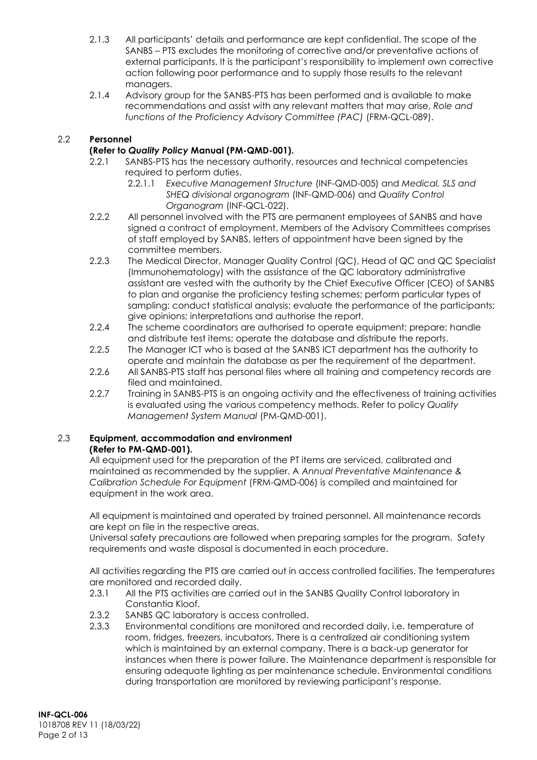- 2.1.3 All participants' details and performance are kept confidential. The scope of the SANBS – PTS excludes the monitoring of corrective and/or preventative actions of external participants. It is the participant's responsibility to implement own corrective action following poor performance and to supply those results to the relevant managers.
- 2.1.4 Advisory group for the SANBS-PTS has been performed and is available to make recommendations and assist with any relevant matters that may arise, *Role and*  functions of the Proficiency Advisory Committee (PAC) (FRM-QCL-089).

# 2.2 **Personnel**

## **(Refer to** *Quality Policy* **Manual (PM-QMD-001).**

- 2.2.1 SANBS-PTS has the necessary authority, resources and technical competencies required to perform duties.
	- 2.2.1.1 *Executive Management Structure* (INF-QMD-005) and *Medical, SLS and SHEQ divisional organogram* (INF-QMD-006) and *Quality Control Organogram* (INF-QCL-022).
- 2.2.2 All personnel involved with the PTS are permanent employees of SANBS and have signed a contract of employment. Members of the Advisory Committees comprises of staff employed by SANBS, letters of appointment have been signed by the committee members.
- 2.2.3 The Medical Director, Manager Quality Control (QC), Head of QC and QC Specialist (Immunohematology) with the assistance of the QC laboratory administrative assistant are vested with the authority by the Chief Executive Officer (CEO) of SANBS to plan and organise the proficiency testing schemes; perform particular types of sampling; conduct statistical analysis; evaluate the performance of the participants; give opinions; interpretations and authorise the report.
- 2.2.4 The scheme coordinators are authorised to operate equipment; prepare; handle and distribute test items; operate the database and distribute the reports.
- 2.2.5 The Manager ICT who is based at the SANBS ICT department has the authority to operate and maintain the database as per the requirement of the department.
- 2.2.6 All SANBS-PTS staff has personal files where all training and competency records are filed and maintained.
- 2.2.7 Training in SANBS-PTS is an ongoing activity and the effectiveness of training activities is evaluated using the various competency methods. Refer to policy *Quality Management System Manual* (PM-QMD-001).

### 2.3 **Equipment, accommodation and environment (Refer to PM-QMD-001).**

All equipment used for the preparation of the PT items are serviced, calibrated and maintained as recommended by the supplier. A *Annual Preventative Maintenance & Calibration Schedule For Equipment* (FRM-QMD-006) is compiled and maintained for equipment in the work area.

All equipment is maintained and operated by trained personnel. All maintenance records are kept on file in the respective areas.

Universal safety precautions are followed when preparing samples for the program. Safety requirements and waste disposal is documented in each procedure.

All activities regarding the PTS are carried out in access controlled facilities. The temperatures are monitored and recorded daily.

- 2.3.1 All the PTS activities are carried out in the SANBS Quality Control laboratory in Constantia Kloof.
- 2.3.2 SANBS QC laboratory is access controlled.
- 2.3.3 Environmental conditions are monitored and recorded daily, i.e. temperature of room, fridges, freezers, incubators. There is a centralized air conditioning system which is maintained by an external company. There is a back-up generator for instances when there is power failure. The Maintenance department is responsible for ensuring adequate lighting as per maintenance schedule. Environmental conditions during transportation are monitored by reviewing participant's response.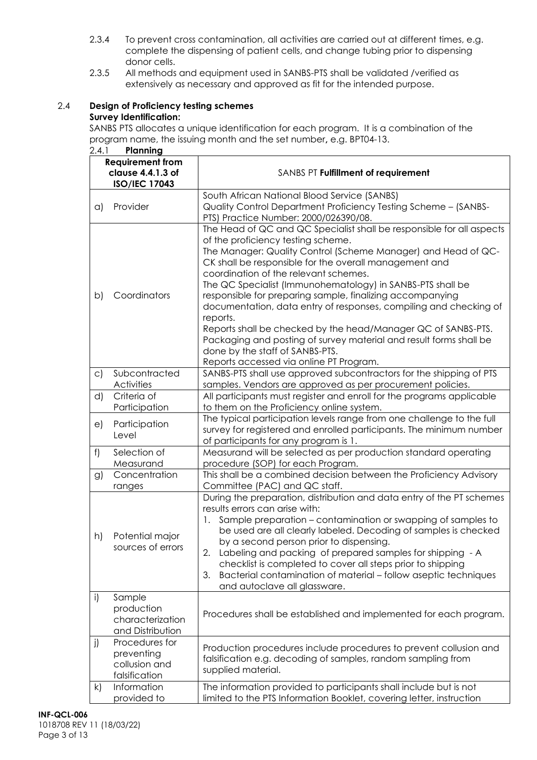- 2.3.4 To prevent cross contamination, all activities are carried out at different times, e.g. complete the dispensing of patient cells, and change tubing prior to dispensing donor cells.
- 2.3.5 All methods and equipment used in SANBS-PTS shall be validated /verified as extensively as necessary and approved as fit for the intended purpose.

## 2.4 **Design of Proficiency testing schemes Survey Identification:**

SANBS PTS allocates a unique identification for each program. It is a combination of the program name, the issuing month and the set number**,** e.g. BPT04-13. 2.4.1 **Planning**

| <b>Requirement from</b><br>clause 4.4.1.3 of<br><b>ISO/IEC 17043</b> |                                                                | SANBS PT Fulfillment of requirement                                                                                                                                                                                                                                                                                                                                                                                                                                                                                                                                                                                                                                                                              |
|----------------------------------------------------------------------|----------------------------------------------------------------|------------------------------------------------------------------------------------------------------------------------------------------------------------------------------------------------------------------------------------------------------------------------------------------------------------------------------------------------------------------------------------------------------------------------------------------------------------------------------------------------------------------------------------------------------------------------------------------------------------------------------------------------------------------------------------------------------------------|
| a)                                                                   | Provider                                                       | South African National Blood Service (SANBS)<br>Quality Control Department Proficiency Testing Scheme - (SANBS-                                                                                                                                                                                                                                                                                                                                                                                                                                                                                                                                                                                                  |
|                                                                      |                                                                | PTS) Practice Number: 2000/026390/08.                                                                                                                                                                                                                                                                                                                                                                                                                                                                                                                                                                                                                                                                            |
| b)                                                                   | Coordinators                                                   | The Head of QC and QC Specialist shall be responsible for all aspects<br>of the proficiency testing scheme.<br>The Manager: Quality Control (Scheme Manager) and Head of QC-<br>CK shall be responsible for the overall management and<br>coordination of the relevant schemes.<br>The QC Specialist (Immunohematology) in SANBS-PTS shall be<br>responsible for preparing sample, finalizing accompanying<br>documentation, data entry of responses, compiling and checking of<br>reports.<br>Reports shall be checked by the head/Manager QC of SANBS-PTS.<br>Packaging and posting of survey material and result forms shall be<br>done by the staff of SANBS-PTS.<br>Reports accessed via online PT Program. |
| $\mathsf{C}$                                                         | Subcontracted<br><b>Activities</b>                             | SANBS-PTS shall use approved subcontractors for the shipping of PTS<br>samples. Vendors are approved as per procurement policies.                                                                                                                                                                                                                                                                                                                                                                                                                                                                                                                                                                                |
| d)                                                                   | Criteria of<br>Participation                                   | All participants must register and enroll for the programs applicable<br>to them on the Proficiency online system.                                                                                                                                                                                                                                                                                                                                                                                                                                                                                                                                                                                               |
| e)                                                                   | Participation<br>Level                                         | The typical participation levels range from one challenge to the full<br>survey for registered and enrolled participants. The minimum number<br>of participants for any program is 1.                                                                                                                                                                                                                                                                                                                                                                                                                                                                                                                            |
| f)                                                                   | Selection of<br>Measurand                                      | Measurand will be selected as per production standard operating<br>procedure (SOP) for each Program.                                                                                                                                                                                                                                                                                                                                                                                                                                                                                                                                                                                                             |
| g)                                                                   | Concentration<br>ranges                                        | This shall be a combined decision between the Proficiency Advisory<br>Committee (PAC) and QC staff.                                                                                                                                                                                                                                                                                                                                                                                                                                                                                                                                                                                                              |
| h)                                                                   | Potential major<br>sources of errors                           | During the preparation, distribution and data entry of the PT schemes<br>results errors can arise with:<br>Sample preparation - contamination or swapping of samples to<br>be used are all clearly labeled. Decoding of samples is checked<br>by a second person prior to dispensing.<br>2. Labeling and packing of prepared samples for shipping - A<br>checklist is completed to cover all steps prior to shipping<br>Bacterial contamination of material - follow aseptic techniques<br>3.<br>and autoclave all glassware.                                                                                                                                                                                    |
| i)                                                                   | Sample<br>production<br>characterization<br>and Distribution   | Procedures shall be established and implemented for each program.                                                                                                                                                                                                                                                                                                                                                                                                                                                                                                                                                                                                                                                |
| j)                                                                   | Procedures for<br>preventing<br>collusion and<br>falsification | Production procedures include procedures to prevent collusion and<br>falsification e.g. decoding of samples, random sampling from<br>supplied material.                                                                                                                                                                                                                                                                                                                                                                                                                                                                                                                                                          |
| $\mathsf{k}$                                                         | Information<br>provided to                                     | The information provided to participants shall include but is not<br>limited to the PTS Information Booklet, covering letter, instruction                                                                                                                                                                                                                                                                                                                                                                                                                                                                                                                                                                        |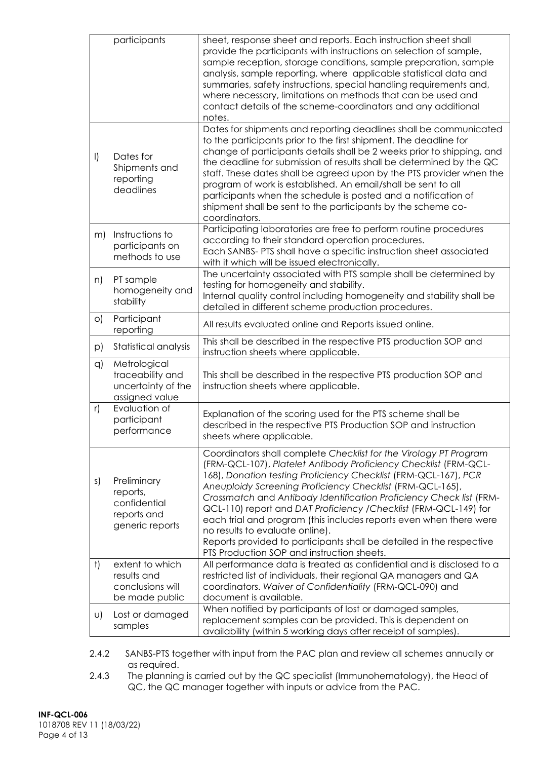|           | participants                                                              | sheet, response sheet and reports. Each instruction sheet shall<br>provide the participants with instructions on selection of sample,<br>sample reception, storage conditions, sample preparation, sample<br>analysis, sample reporting, where applicable statistical data and<br>summaries, safety instructions, special handling requirements and,<br>where necessary, limitations on methods that can be used and<br>contact details of the scheme-coordinators and any additional<br>notes.                                                                                                                                                  |
|-----------|---------------------------------------------------------------------------|--------------------------------------------------------------------------------------------------------------------------------------------------------------------------------------------------------------------------------------------------------------------------------------------------------------------------------------------------------------------------------------------------------------------------------------------------------------------------------------------------------------------------------------------------------------------------------------------------------------------------------------------------|
| $\vert$   | Dates for<br>Shipments and<br>reporting<br>deadlines                      | Dates for shipments and reporting deadlines shall be communicated<br>to the participants prior to the first shipment. The deadline for<br>change of participants details shall be 2 weeks prior to shipping, and<br>the deadline for submission of results shall be determined by the QC<br>staff. These dates shall be agreed upon by the PTS provider when the<br>program of work is established. An email/shall be sent to all<br>participants when the schedule is posted and a notification of<br>shipment shall be sent to the participants by the scheme co-<br>coordinators.                                                             |
| m)        | Instructions to<br>participants on<br>methods to use                      | Participating laboratories are free to perform routine procedures<br>according to their standard operation procedures.<br>Each SANBS- PTS shall have a specific instruction sheet associated<br>with it which will be issued electronically.                                                                                                                                                                                                                                                                                                                                                                                                     |
| n)        | PT sample<br>homogeneity and<br>stability                                 | The uncertainty associated with PTS sample shall be determined by<br>testing for homogeneity and stability.<br>Internal quality control including homogeneity and stability shall be<br>detailed in different scheme production procedures.                                                                                                                                                                                                                                                                                                                                                                                                      |
| $\circ)$  | Participant<br>reporting                                                  | All results evaluated online and Reports issued online.                                                                                                                                                                                                                                                                                                                                                                                                                                                                                                                                                                                          |
| p)        | Statistical analysis                                                      | This shall be described in the respective PTS production SOP and<br>instruction sheets where applicable.                                                                                                                                                                                                                                                                                                                                                                                                                                                                                                                                         |
| q)        | Metrological<br>traceability and<br>uncertainty of the<br>assigned value  | This shall be described in the respective PTS production SOP and<br>instruction sheets where applicable.                                                                                                                                                                                                                                                                                                                                                                                                                                                                                                                                         |
| r)        | Evaluation of<br>participant<br>performance                               | Explanation of the scoring used for the PTS scheme shall be<br>described in the respective PTS Production SOP and instruction<br>sheets where applicable                                                                                                                                                                                                                                                                                                                                                                                                                                                                                         |
| s)        | Preliminary<br>reports,<br>confidential<br>reports and<br>generic reports | Coordinators shall complete Checklist for the Virology PT Program<br>(FRM-QCL-107), Platelet Antibody Proficiency Checklist (FRM-QCL-<br>168), Donation testing Proficiency Checklist (FRM-QCL-167), PCR<br>Aneuploidy Screening Proficiency Checklist (FRM-QCL-165),<br>Crossmatch and Antibody Identification Proficiency Check list (FRM-<br>QCL-110) report and DAT Proficiency / Checklist (FRM-QCL-149) for<br>each trial and program (this includes reports even when there were<br>no results to evaluate online).<br>Reports provided to participants shall be detailed in the respective<br>PTS Production SOP and instruction sheets. |
| $\dagger$ | extent to which<br>results and<br>conclusions will                        | All performance data is treated as confidential and is disclosed to a<br>restricted list of individuals, their regional QA managers and QA<br>coordinators. Waiver of Confidentiality (FRM-QCL-090) and                                                                                                                                                                                                                                                                                                                                                                                                                                          |
| U)        | be made public<br>Lost or damaged<br>samples                              | document is available.<br>When notified by participants of lost or damaged samples,<br>replacement samples can be provided. This is dependent on<br>availability (within 5 working days after receipt of samples).                                                                                                                                                                                                                                                                                                                                                                                                                               |

2.4.2 SANBS-PTS together with input from the PAC plan and review all schemes annually or as required.

2.4.3 The planning is carried out by the QC specialist (Immunohematology), the Head of QC, the QC manager together with inputs or advice from the PAC.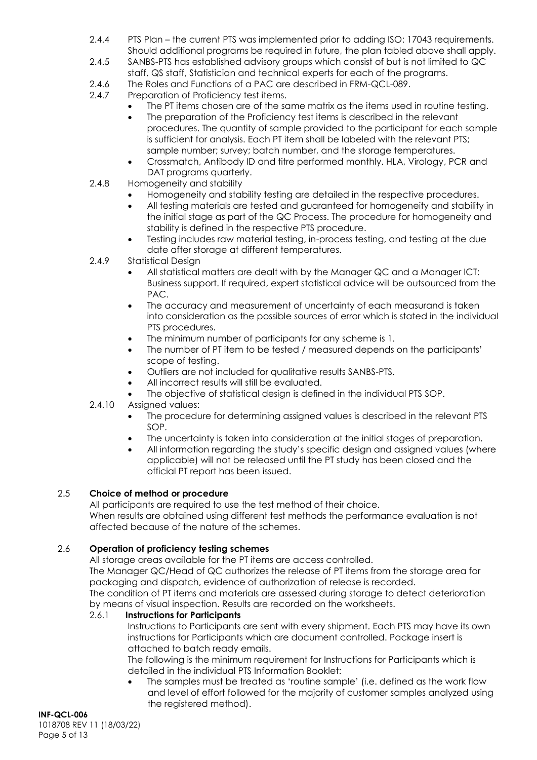- 2.4.4 PTS Plan the current PTS was implemented prior to adding ISO: 17043 requirements. Should additional programs be required in future, the plan tabled above shall apply.
- 2.4.5 SANBS-PTS has established advisory groups which consist of but is not limited to QC staff, QS staff, Statistician and technical experts for each of the programs.
- 2.4.6 The Roles and Functions of a PAC are described in FRM-QCL-089.<br>2.4.7 Preparation of Proficiency test items.
- Preparation of Proficiency test items.
	- The PT items chosen are of the same matrix as the items used in routine testing.
		- The preparation of the Proficiency test items is described in the relevant procedures. The quantity of sample provided to the participant for each sample is sufficient for analysis. Each PT item shall be labeled with the relevant PTS; sample number; survey; batch number, and the storage temperatures.
		- Crossmatch, Antibody ID and titre performed monthly. HLA, Virology, PCR and DAT programs quarterly.
- 2.4.8 Homogeneity and stability
	- Homogeneity and stability testing are detailed in the respective procedures.
	- All testing materials are tested and guaranteed for homogeneity and stability in the initial stage as part of the QC Process. The procedure for homogeneity and stability is defined in the respective PTS procedure.
	- Testing includes raw material testing, in-process testing, and testing at the due date after storage at different temperatures.
- 2.4.9 Statistical Design
	- All statistical matters are dealt with by the Manager QC and a Manager ICT: Business support. If required, expert statistical advice will be outsourced from the PAC.
	- The accuracy and measurement of uncertainty of each measurand is taken into consideration as the possible sources of error which is stated in the individual PTS procedures.
	- The minimum number of participants for any scheme is 1.
	- The number of PT item to be tested / measured depends on the participants' scope of testing.
	- Outliers are not included for qualitative results SANBS-PTS.
	- All incorrect results will still be evaluated.
	- The objective of statistical design is defined in the individual PTS SOP.
- 2.4.10 Assigned values:
	- The procedure for determining assigned values is described in the relevant PTS SOP.
	- The uncertainty is taken into consideration at the initial stages of preparation.
	- All information regarding the study's specific design and assigned values (where applicable) will not be released until the PT study has been closed and the official PT report has been issued.

### 2.5 **Choice of method or procedure**

All participants are required to use the test method of their choice. When results are obtained using different test methods the performance evaluation is not affected because of the nature of the schemes.

### 2.6 **Operation of proficiency testing schemes**

All storage areas available for the PT items are access controlled.

The Manager QC/Head of QC authorizes the release of PT items from the storage area for packaging and dispatch, evidence of authorization of release is recorded.

The condition of PT items and materials are assessed during storage to detect deterioration by means of visual inspection. Results are recorded on the worksheets.

### 2.6.1 **Instructions for Participants**

Instructions to Participants are sent with every shipment. Each PTS may have its own instructions for Participants which are document controlled. Package insert is attached to batch ready emails.

The following is the minimum requirement for Instructions for Participants which is detailed in the individual PTS Information Booklet:

• The samples must be treated as 'routine sample' (i.e. defined as the work flow and level of effort followed for the majority of customer samples analyzed using the registered method).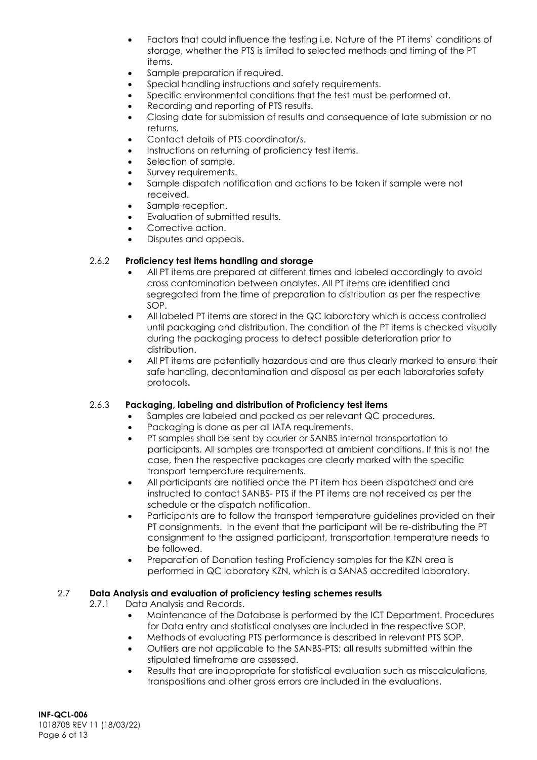- Factors that could influence the testing i.e. Nature of the PT items' conditions of storage, whether the PTS is limited to selected methods and timing of the PT items.
- Sample preparation if required.
- Special handling instructions and safety requirements.
- Specific environmental conditions that the test must be performed at.
- Recording and reporting of PTS results.
- Closing date for submission of results and consequence of late submission or no returns.
- Contact details of PTS coordinator/s.
- Instructions on returning of proficiency test items.
- Selection of sample.
- Survey requirements.
- Sample dispatch notification and actions to be taken if sample were not received.
- Sample reception.
- Evaluation of submitted results.
- Corrective action.
- Disputes and appeals.

#### 2.6.2 **Proficiency test items handling and storage**

- All PT items are prepared at different times and labeled accordingly to avoid cross contamination between analytes. All PT items are identified and segregated from the time of preparation to distribution as per the respective SOP.
- All labeled PT items are stored in the QC laboratory which is access controlled until packaging and distribution. The condition of the PT items is checked visually during the packaging process to detect possible deterioration prior to distribution.
- All PT items are potentially hazardous and are thus clearly marked to ensure their safe handling, decontamination and disposal as per each laboratories safety protocols**.**

#### 2.6.3 **Packaging, labeling and distribution of Proficiency test items**

- Samples are labeled and packed as per relevant QC procedures.
- Packaging is done as per all IATA requirements.
- PT samples shall be sent by courier or SANBS internal transportation to participants. All samples are transported at ambient conditions. If this is not the case, then the respective packages are clearly marked with the specific transport temperature requirements.
- All participants are notified once the PT item has been dispatched and are instructed to contact SANBS- PTS if the PT items are not received as per the schedule or the dispatch notification.
- Participants are to follow the transport temperature guidelines provided on their PT consignments. In the event that the participant will be re-distributing the PT consignment to the assigned participant, transportation temperature needs to be followed.
- Preparation of Donation testing Proficiency samples for the KZN area is performed in QC laboratory KZN, which is a SANAS accredited laboratory.

#### 2.7 **Data Analysis and evaluation of proficiency testing schemes results**

2.7.1 Data Analysis and Records.

- Maintenance of the Database is performed by the ICT Department. Procedures for Data entry and statistical analyses are included in the respective SOP.
- Methods of evaluating PTS performance is described in relevant PTS SOP.
- Outliers are not applicable to the SANBS-PTS; all results submitted within the stipulated timeframe are assessed.
- Results that are inappropriate for statistical evaluation such as miscalculations, transpositions and other gross errors are included in the evaluations.

**INF-QCL-006** 1018708 REV 11 (18/03/22) Page 6 of 13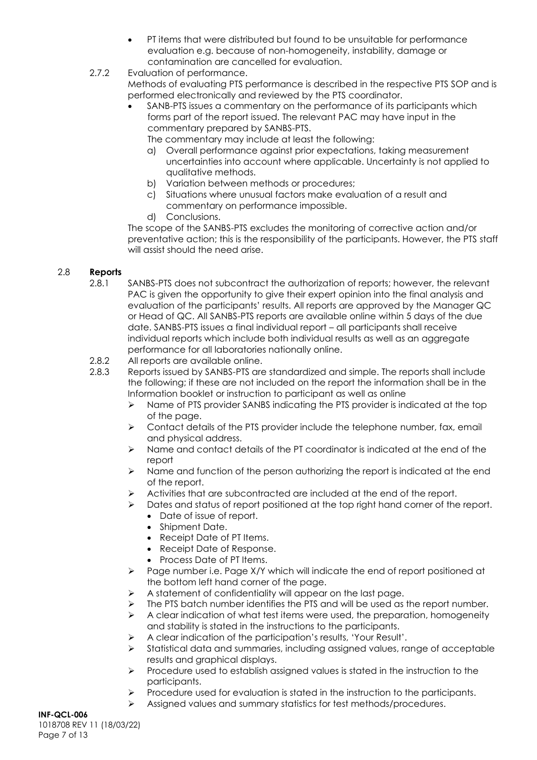- PT items that were distributed but found to be unsuitable for performance evaluation e.g. because of non-homogeneity, instability, damage or contamination are cancelled for evaluation.
- 2.7.2 Evaluation of performance. Methods of evaluating PTS performance is described in the respective PTS SOP and is performed electronically and reviewed by the PTS coordinator.
	- SANB-PTS issues a commentary on the performance of its participants which forms part of the report issued. The relevant PAC may have input in the commentary prepared by SANBS-PTS.
		- The commentary may include at least the following:
		- a) Overall performance against prior expectations, taking measurement uncertainties into account where applicable. Uncertainty is not applied to qualitative methods.
		- b) Variation between methods or procedures;
		- c) Situations where unusual factors make evaluation of a result and commentary on performance impossible.
		- d) Conclusions.

The scope of the SANBS-PTS excludes the monitoring of corrective action and/or preventative action; this is the responsibility of the participants. However, the PTS staff will assist should the need arise.

### 2.8 **Reports**

2.8.1 SANBS-PTS does not subcontract the authorization of reports; however, the relevant PAC is given the opportunity to give their expert opinion into the final analysis and evaluation of the participants' results. All reports are approved by the Manager QC or Head of QC. All SANBS-PTS reports are available online within 5 days of the due date. SANBS-PTS issues a final individual report – all participants shall receive individual reports which include both individual results as well as an aggregate performance for all laboratories nationally online.

### 2.8.2 All reports are available online.

- 2.8.3 Reports issued by SANBS-PTS are standardized and simple. The reports shall include the following; if these are not included on the report the information shall be in the Information booklet or instruction to participant as well as online
	- ➢ Name of PTS provider SANBS indicating the PTS provider is indicated at the top of the page.
	- ➢ Contact details of the PTS provider include the telephone number, fax, email and physical address.
	- ➢ Name and contact details of the PT coordinator is indicated at the end of the report
	- $\triangleright$  Name and function of the person authorizing the report is indicated at the end of the report.
	- $\triangleright$  Activities that are subcontracted are included at the end of the report.
		- ➢ Dates and status of report positioned at the top right hand corner of the report.
			- Date of issue of report.
			- Shipment Date.
			- Receipt Date of PT Items.
			- Receipt Date of Response.
			- Process Date of PT Items.
	- ➢ Page number i.e. Page X/Y which will indicate the end of report positioned at the bottom left hand corner of the page.
	- $\triangleright$  A statement of confidentiality will appear on the last page.
	- $\triangleright$  The PTS batch number identifies the PTS and will be used as the report number.
	- $\triangleright$  A clear indication of what test items were used, the preparation, homogeneity and stability is stated in the instructions to the participants.
	- ➢ A clear indication of the participation's results, 'Your Result'.
	- ➢ Statistical data and summaries, including assigned values, range of acceptable results and graphical displays.
	- ➢ Procedure used to establish assigned values is stated in the instruction to the participants.
	- $\triangleright$  Procedure used for evaluation is stated in the instruction to the participants.
	- ➢ Assigned values and summary statistics for test methods/procedures.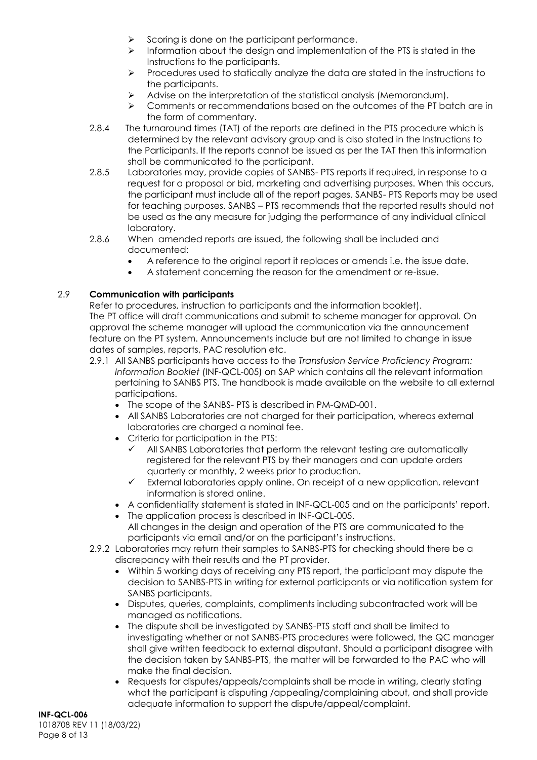- $\triangleright$  Scoring is done on the participant performance.
- $\triangleright$  Information about the design and implementation of the PTS is stated in the Instructions to the participants.
- $\triangleright$  Procedures used to statically analyze the data are stated in the instructions to the participants.
- ➢ Advise on the interpretation of the statistical analysis (Memorandum).
- ➢ Comments or recommendations based on the outcomes of the PT batch are in the form of commentary.
- 2.8.4 The turnaround times (TAT) of the reports are defined in the PTS procedure which is determined by the relevant advisory group and is also stated in the Instructions to the Participants. If the reports cannot be issued as per the TAT then this information shall be communicated to the participant.
- 2.8.5 Laboratories may, provide copies of SANBS- PTS reports if required, in response to a request for a proposal or bid, marketing and advertising purposes. When this occurs, the participant must include all of the report pages. SANBS- PTS Reports may be used for teaching purposes. SANBS – PTS recommends that the reported results should not be used as the any measure for judging the performance of any individual clinical laboratory.
- 2.8.6 When amended reports are issued, the following shall be included and documented:
	- A reference to the original report it replaces or amends i.e. the issue date.
	- A statement concerning the reason for the amendment or re-issue.

# 2.9 **Communication with participants**

Refer to procedures, instruction to participants and the information booklet). The PT office will draft communications and submit to scheme manager for approval. On approval the scheme manager will upload the communication via the announcement feature on the PT system. Announcements include but are not limited to change in issue dates of samples, reports, PAC resolution etc.

- 2.9.1 All SANBS participants have access to the *Transfusion Service Proficiency Program: Information Booklet* (INF-QCL-005) on SAP which contains all the relevant information pertaining to SANBS PTS. The handbook is made available on the website to all external participations.
	- The scope of the SANBS- PTS is described in PM-QMD-001.
	- All SANBS Laboratories are not charged for their participation, whereas external laboratories are charged a nominal fee.
	- Criteria for participation in the PTS:
		- All SANBS Laboratories that perform the relevant testing are automatically registered for the relevant PTS by their managers and can update orders quarterly or monthly, 2 weeks prior to production.
		- External laboratories apply online. On receipt of a new application, relevant information is stored online.
	- A confidentiality statement is stated in INF-QCL-005 and on the participants' report.
	- The application process is described in INF-QCL-005. All changes in the design and operation of the PTS are communicated to the participants via email and/or on the participant's instructions.
- 2.9.2 Laboratories may return their samples to SANBS-PTS for checking should there be a discrepancy with their results and the PT provider.
	- Within 5 working days of receiving any PTS report, the participant may dispute the decision to SANBS-PTS in writing for external participants or via notification system for SANBS participants.
	- Disputes, queries, complaints, compliments including subcontracted work will be managed as notifications.
	- The dispute shall be investigated by SANBS-PTS staff and shall be limited to investigating whether or not SANBS-PTS procedures were followed, the QC manager shall give written feedback to external disputant. Should a participant disagree with the decision taken by SANBS-PTS, the matter will be forwarded to the PAC who will make the final decision.
	- Requests for disputes/appeals/complaints shall be made in writing, clearly stating what the participant is disputing /appealing/complaining about, and shall provide adequate information to support the dispute/appeal/complaint.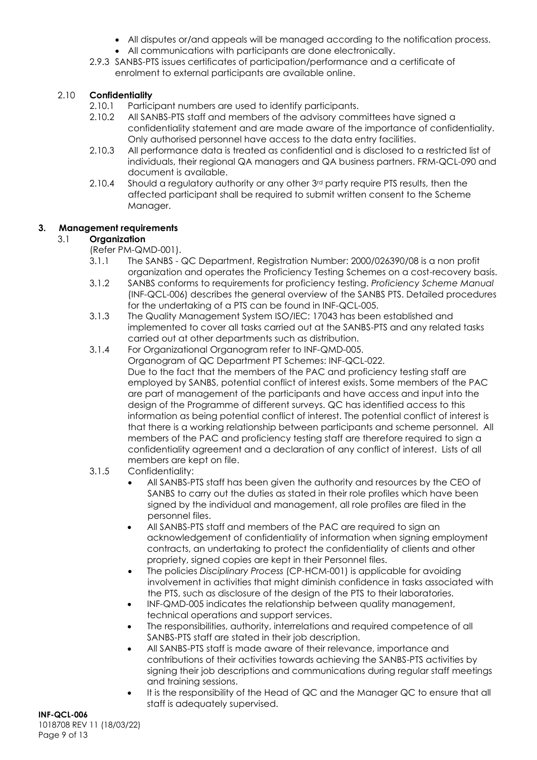- All disputes or/and appeals will be managed according to the notification process.
- All communications with participants are done electronically.
- 2.9.3 SANBS-PTS issues certificates of participation/performance and a certificate of enrolment to external participants are available online.

## 2.10 **Confidentiality**

- 2.10.1 Participant numbers are used to identify participants.<br>2.10.2 All SANBS-PTS staff and members of the advisory comp
- All SANBS-PTS staff and members of the advisory committees have signed a confidentiality statement and are made aware of the importance of confidentiality. Only authorised personnel have access to the data entry facilities.
- 2.10.3 All performance data is treated as confidential and is disclosed to a restricted list of individuals, their regional QA managers and QA business partners. FRM-QCL-090 and document is available.
- 2.10.4 Should a regulatory authority or any other 3<sup>rd</sup> party require PTS results, then the affected participant shall be required to submit written consent to the Scheme Manager.

# **3. Management requirements**

# 3.1 **Organization**

- (Refer PM-QMD-001).
- 3.1.1 The SANBS QC Department, Registration Number: 2000/026390/08 is a non profit organization and operates the Proficiency Testing Schemes on a cost-recovery basis.
- 3.1.2 SANBS conforms to requirements for proficiency testing. *Proficiency Scheme Manual* (INF-QCL-006) describes the general overview of the SANBS PTS. Detailed procedures for the undertaking of a PTS can be found in INF-QCL-005.
- 3.1.3 The Quality Management System ISO/IEC: 17043 has been established and implemented to cover all tasks carried out at the SANBS-PTS and any related tasks carried out at other departments such as distribution.
- 3.1.4 For Organizational Organogram refer to INF-QMD-005. Organogram of QC Department PT Schemes: INF-QCL-022. Due to the fact that the members of the PAC and proficiency testing staff are employed by SANBS, potential conflict of interest exists. Some members of the PAC are part of management of the participants and have access and input into the design of the Programme of different surveys. QC has identified access to this information as being potential conflict of interest. The potential conflict of interest is that there is a working relationship between participants and scheme personnel. All members of the PAC and proficiency testing staff are therefore required to sign a confidentiality agreement and a declaration of any conflict of interest. Lists of all members are kept on file.
- 3.1.5 Confidentiality:
	- All SANBS-PTS staff has been given the authority and resources by the CEO of SANBS to carry out the duties as stated in their role profiles which have been signed by the individual and management, all role profiles are filed in the personnel files.
	- All SANBS-PTS staff and members of the PAC are required to sign an acknowledgement of confidentiality of information when signing employment contracts, an undertaking to protect the confidentiality of clients and other propriety, signed copies are kept in their Personnel files.
	- The policies *Disciplinary Process* (CP-HCM-001) is applicable for avoiding involvement in activities that might diminish confidence in tasks associated with the PTS, such as disclosure of the design of the PTS to their laboratories.
	- INF-QMD-005 indicates the relationship between quality management, technical operations and support services.
	- The responsibilities, authority, interrelations and required competence of all SANBS-PTS staff are stated in their job description.
	- All SANBS-PTS staff is made aware of their relevance, importance and contributions of their activities towards achieving the SANBS-PTS activities by signing their job descriptions and communications during regular staff meetings and training sessions.
	- It is the responsibility of the Head of QC and the Manager QC to ensure that all staff is adequately supervised.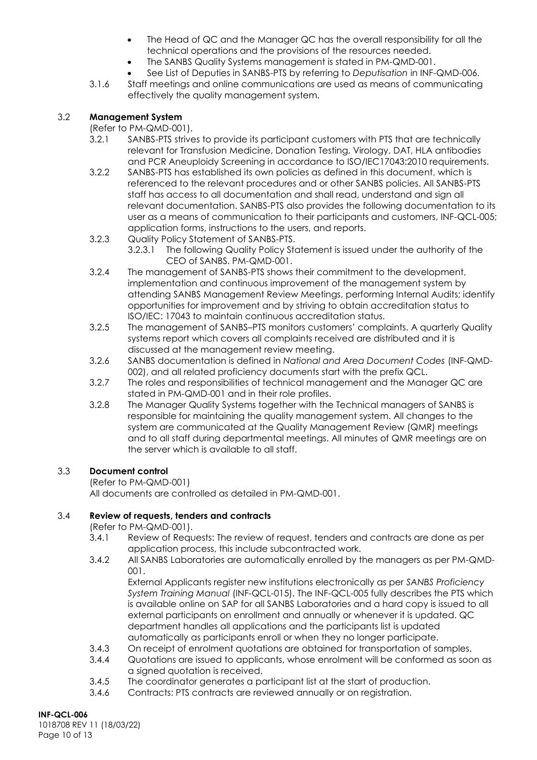- The Head of QC and the Manager QC has the overall responsibility for all the technical operations and the provisions of the resources needed.
- The SANBS Quality Systems management is stated in PM-QMD-001.
- See List of Deputies in SANBS-PTS by referring to *Deputisation* in INF-QMD-006.
- 3.1.6 Staff meetings and online communications are used as means of communicating effectively the quality management system.

## 3.2 **Management System**

(Refer to PM-QMD-001).

- 3.2.1 SANBS-PTS strives to provide its participant customers with PTS that are technically relevant for Transfusion Medicine, Donation Testing, Virology, DAT, HLA antibodies and PCR Aneuploidy Screening in accordance to ISO/IEC17043:2010 requirements.
- 3.2.2 SANBS-PTS has established its own policies as defined in this document, which is referenced to the relevant procedures and or other SANBS policies. All SANBS-PTS staff has access to all documentation and shall read, understand and sign all relevant documentation. SANBS-PTS also provides the following documentation to its user as a means of communication to their participants and customers, INF-QCL-005; application forms, instructions to the users, and reports.
- 3.2.3 Quality Policy Statement of SANBS-PTS.
	- 3.2.3.1 The following Quality Policy Statement is issued under the authority of the CEO of SANBS. PM-QMD-001.
- 3.2.4 The management of SANBS-PTS shows their commitment to the development, implementation and continuous improvement of the management system by attending SANBS Management Review Meetings, performing Internal Audits; identify opportunities for improvement and by striving to obtain accreditation status to ISO/IEC: 17043 to maintain continuous accreditation status.
- 3.2.5 The management of SANBS–PTS monitors customers' complaints. A quarterly Quality systems report which covers all complaints received are distributed and it is discussed at the management review meeting.
- 3.2.6 SANBS documentation is defined in *National and Area Document Codes* (INF-QMD-002), and all related proficiency documents start with the prefix QCL.
- 3.2.7 The roles and responsibilities of technical management and the Manager QC are stated in PM-QMD-001 and in their role profiles.
- 3.2.8 The Manager Quality Systems together with the Technical managers of SANBS is responsible for maintaining the quality management system. All changes to the system are communicated at the Quality Management Review (QMR) meetings and to all staff during departmental meetings. All minutes of QMR meetings are on the server which is available to all staff.

# 3.3 **Document control**

(Refer to PM-QMD-001)

All documents are controlled as detailed in PM-QMD-001.

### 3.4 **Review of requests, tenders and contracts**

(Refer to PM-QMD-001).

- 3.4.1 Review of Requests: The review of request, tenders and contracts are done as per application process, this include subcontracted work.
- 3.4.2 All SANBS Laboratories are automatically enrolled by the managers as per PM-QMD- $001$

External Applicants register new institutions electronically as per *SANBS Proficiency System Training Manual* (INF-QCL-015). The INF-QCL-005 fully describes the PTS which is available online on SAP for all SANBS Laboratories and a hard copy is issued to all external participants on enrollment and annually or whenever it is updated. QC department handles all applications and the participants list is updated automatically as participants enroll or when they no longer participate.

- 3.4.3 On receipt of enrolment quotations are obtained for transportation of samples.
- 3.4.4 Quotations are issued to applicants, whose enrolment will be conformed as soon as a signed quotation is received.
- 3.4.5 The coordinator generates a participant list at the start of production.
- 3.4.6 Contracts: PTS contracts are reviewed annually or on registration.

**INF-QCL-006** 1018708 REV 11 (18/03/22) Page 10 of 13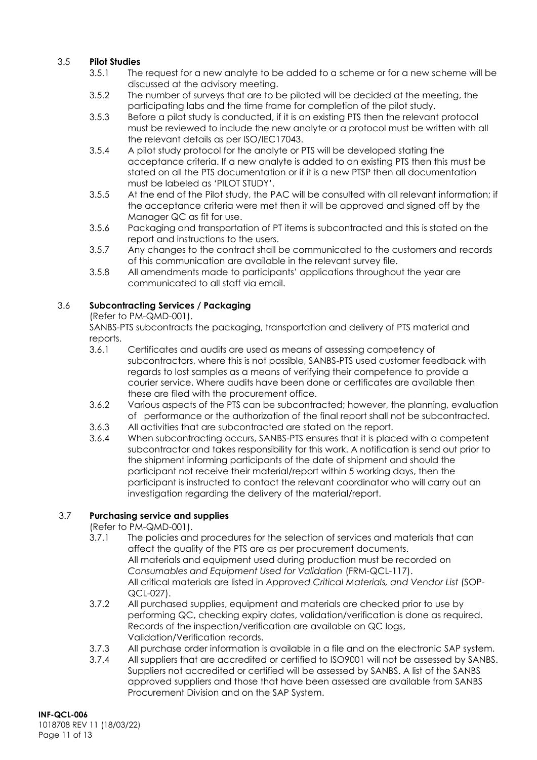## 3.5 **Pilot Studies**

- 3.5.1 The request for a new analyte to be added to a scheme or for a new scheme will be discussed at the advisory meeting.
- 3.5.2 The number of surveys that are to be piloted will be decided at the meeting, the participating labs and the time frame for completion of the pilot study.
- 3.5.3 Before a pilot study is conducted, if it is an existing PTS then the relevant protocol must be reviewed to include the new analyte or a protocol must be written with all the relevant details as per ISO/IEC17043.
- 3.5.4 A pilot study protocol for the analyte or PTS will be developed stating the acceptance criteria. If a new analyte is added to an existing PTS then this must be stated on all the PTS documentation or if it is a new PTSP then all documentation must be labeled as 'PILOT STUDY'.
- 3.5.5 At the end of the Pilot study, the PAC will be consulted with all relevant information; if the acceptance criteria were met then it will be approved and signed off by the Manager QC as fit for use.
- 3.5.6 Packaging and transportation of PT items is subcontracted and this is stated on the report and instructions to the users.
- 3.5.7 Any changes to the contract shall be communicated to the customers and records of this communication are available in the relevant survey file.
- 3.5.8 All amendments made to participants' applications throughout the year are communicated to all staff via email.

# 3.6 **Subcontracting Services / Packaging**

(Refer to PM-QMD-001).

SANBS-PTS subcontracts the packaging, transportation and delivery of PTS material and reports.

- 3.6.1 Certificates and audits are used as means of assessing competency of subcontractors, where this is not possible, SANBS-PTS used customer feedback with regards to lost samples as a means of verifying their competence to provide a courier service. Where audits have been done or certificates are available then these are filed with the procurement office.
- 3.6.2 Various aspects of the PTS can be subcontracted; however, the planning, evaluation of performance or the authorization of the final report shall not be subcontracted.
- 3.6.3 All activities that are subcontracted are stated on the report.
- 3.6.4 When subcontracting occurs, SANBS-PTS ensures that it is placed with a competent subcontractor and takes responsibility for this work. A notification is send out prior to the shipment informing participants of the date of shipment and should the participant not receive their material/report within 5 working days, then the participant is instructed to contact the relevant coordinator who will carry out an investigation regarding the delivery of the material/report.

# 3.7 **Purchasing service and supplies**

(Refer to PM-QMD-001).

- 3.7.1 The policies and procedures for the selection of services and materials that can affect the quality of the PTS are as per procurement documents. All materials and equipment used during production must be recorded on *Consumables and Equipment Used for Validation* (FRM-QCL-117). All critical materials are listed in *Approved Critical Materials, and Vendor List* (SOP-QCL-027).
- 3.7.2 All purchased supplies, equipment and materials are checked prior to use by performing QC, checking expiry dates, validation/verification is done as required. Records of the inspection/verification are available on QC logs, Validation/Verification records.
- 3.7.3 All purchase order information is available in a file and on the electronic SAP system.
- 3.7.4 All suppliers that are accredited or certified to ISO9001 will not be assessed by SANBS. Suppliers not accredited or certified will be assessed by SANBS. A list of the SANBS approved suppliers and those that have been assessed are available from SANBS Procurement Division and on the SAP System.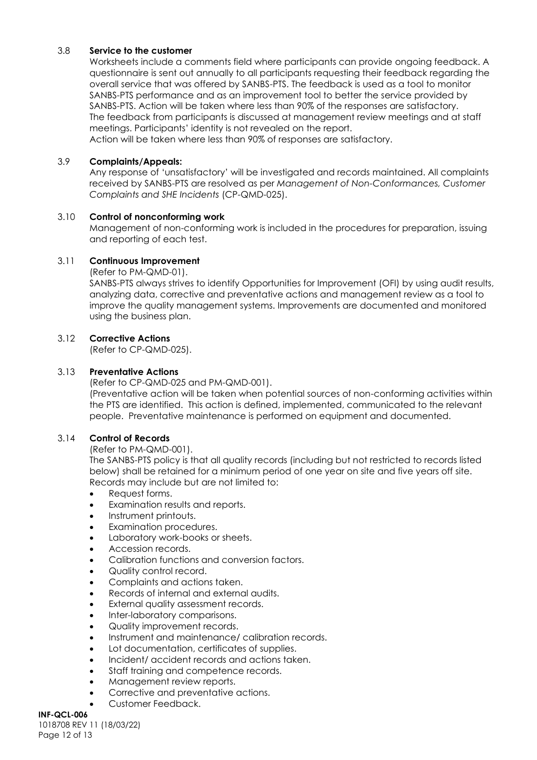#### 3.8 **Service to the customer**

Worksheets include a comments field where participants can provide ongoing feedback. A questionnaire is sent out annually to all participants requesting their feedback regarding the overall service that was offered by SANBS-PTS. The feedback is used as a tool to monitor SANBS-PTS performance and as an improvement tool to better the service provided by SANBS-PTS. Action will be taken where less than 90% of the responses are satisfactory. The feedback from participants is discussed at management review meetings and at staff meetings. Participants' identity is not revealed on the report.

Action will be taken where less than 90% of responses are satisfactory.

#### 3.9 **Complaints/Appeals:**

Any response of 'unsatisfactory' will be investigated and records maintained. All complaints received by SANBS-PTS are resolved as per *Management of Non-Conformances, Customer Complaints and SHE Incidents* (CP-QMD-025).

#### 3.10 **Control of nonconforming work**

Management of non-conforming work is included in the procedures for preparation, issuing and reporting of each test.

#### 3.11 **Continuous Improvement**

(Refer to PM-QMD-01).

SANBS-PTS always strives to identify Opportunities for Improvement (OFI) by using audit results, analyzing data, corrective and preventative actions and management review as a tool to improve the quality management systems. Improvements are documented and monitored using the business plan.

#### 3.12 **Corrective Actions**

(Refer to CP-QMD-025).

#### 3.13 **Preventative Actions**

(Refer to CP-QMD-025 and PM-QMD-001).

(Preventative action will be taken when potential sources of non-conforming activities within the PTS are identified. This action is defined, implemented, communicated to the relevant people. Preventative maintenance is performed on equipment and documented.

### 3.14 **Control of Records**

(Refer to PM-QMD-001).

The SANBS-PTS policy is that all quality records (including but not restricted to records listed below) shall be retained for a minimum period of one year on site and five years off site. Records may include but are not limited to:

- Request forms.
- Examination results and reports.
- Instrument printouts.
- Examination procedures.
- Laboratory work-books or sheets.
- Accession records.
- Calibration functions and conversion factors.
- Quality control record.
- Complaints and actions taken.
- Records of internal and external audits.
- External quality assessment records.
- Inter-laboratory comparisons.
- Quality improvement records.
- Instrument and maintenance/ calibration records.
- Lot documentation, certificates of supplies.
- Incident/ accident records and actions taken.
- Staff training and competence records.
- Management review reports.
- Corrective and preventative actions.
- Customer Feedback.

**INF-QCL-006** 1018708 REV 11 (18/03/22) Page 12 of 13